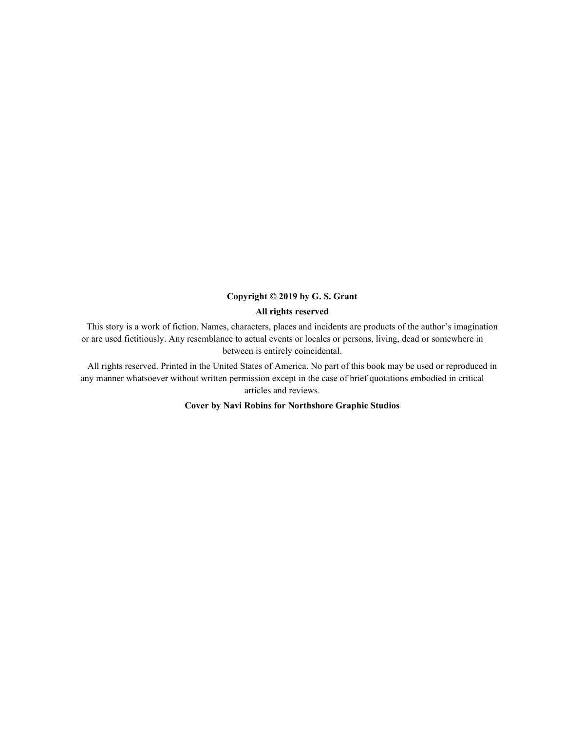#### Copyright © 2019 by G. S. Grant

#### All rights reserved

This story is a work of fiction. Names, characters, places and incidents are products of the author's imagination or are used fictitiously. Any resemblance to actual events or locales or persons, living, dead or somewhere in between is entirely coincidental.

All rights reserved. Printed in the United States of America. No part of this book may be used or reproduced in any manner whatsoever without written permission except in the case of brief quotations embodied in critical articles and reviews.

Cover by Navi Robins for Northshore Graphic Studios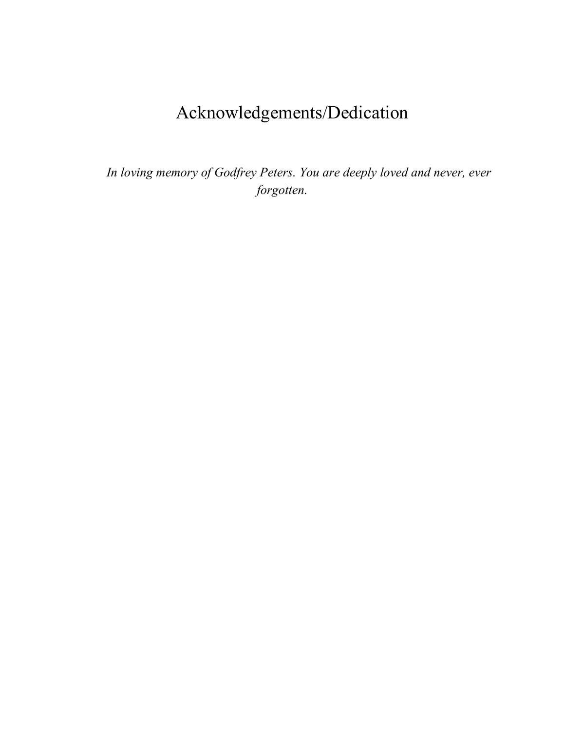### Acknowledgements/Dedication

*In loving memory of Godfrey Peters. You are deeply loved and never, ever forgotten.*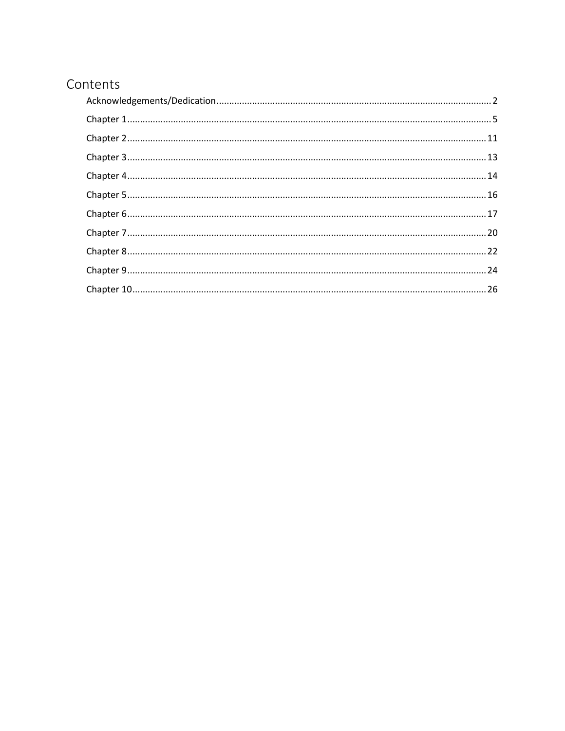### Contents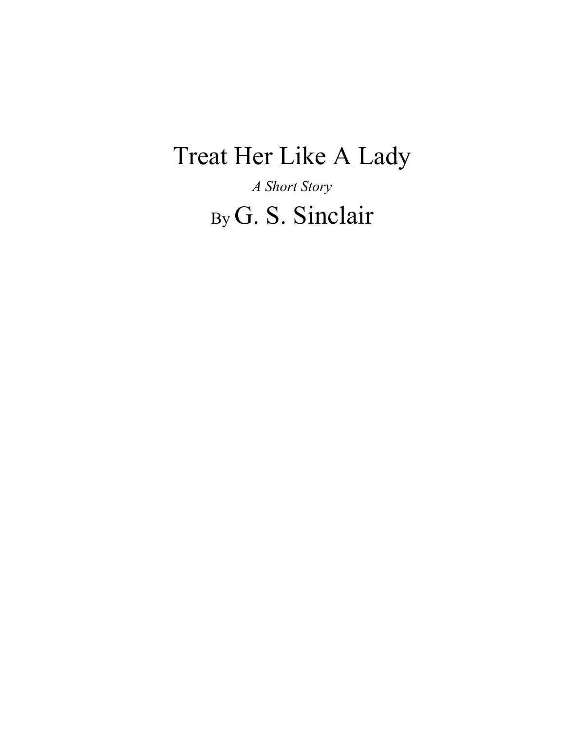# Treat Her Like A Lady

*A Short Story* By G. S. Sinclair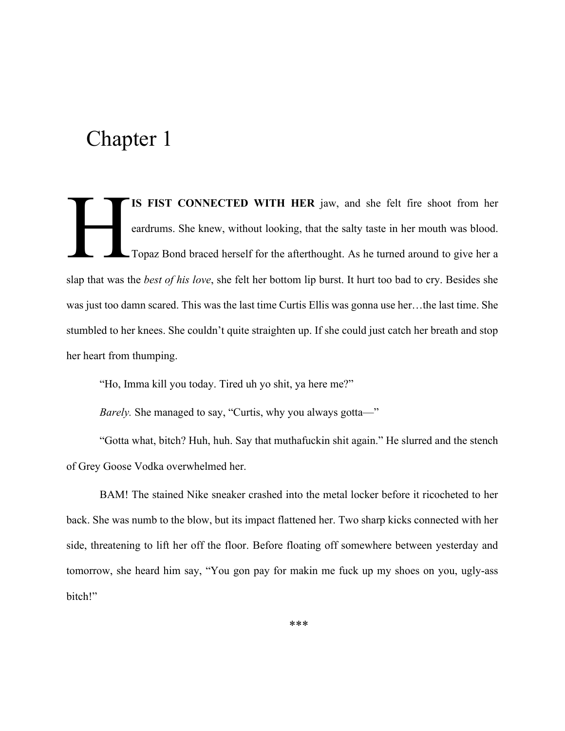IS FIST CONNECTED WITH HER jaw, and she felt fire shoot from her eardrums. She knew, without looking, that the salty taste in her mouth was blood. Topaz Bond braced herself for the afterthought. As he turned around to give her a slap that was the *best of his love*, she felt her bottom lip burst. It hurt too bad to cry. Besides she was just too damn scared. This was the last time Curtis Ellis was gonna use her…the last time. She stumbled to her knees. She couldn't quite straighten up. If she could just catch her breath and stop her heart from thumping.  $H$ 

"Ho, Imma kill you today. Tired uh yo shit, ya here me?"

*Barely*. She managed to say, "Curtis, why you always gotta—"

"Gotta what, bitch? Huh, huh. Say that muthafuckin shit again." He slurred and the stench of Grey Goose Vodka overwhelmed her.

BAM! The stained Nike sneaker crashed into the metal locker before it ricocheted to her back. She was numb to the blow, but its impact flattened her. Two sharp kicks connected with her side, threatening to lift her off the floor. Before floating off somewhere between yesterday and tomorrow, she heard him say, "You gon pay for makin me fuck up my shoes on you, ugly-ass bitch!"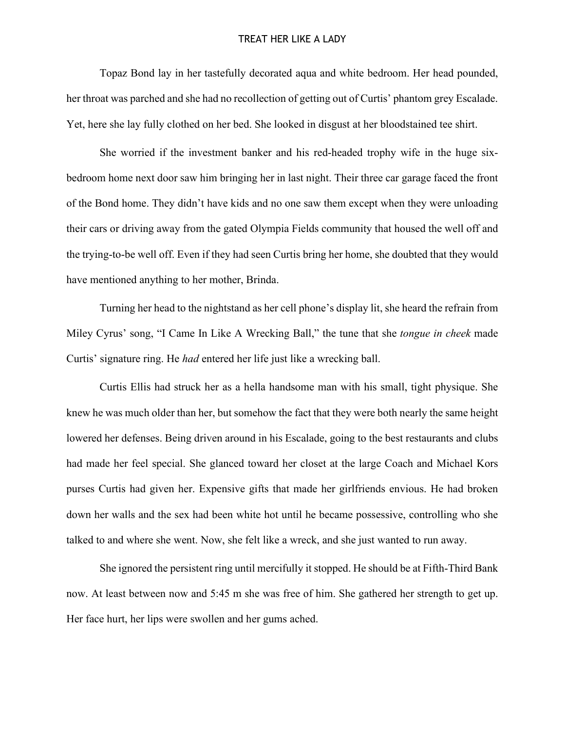#### TREAT HER LIKE A LADY

Topaz Bond lay in her tastefully decorated aqua and white bedroom. Her head pounded, her throat was parched and she had no recollection of getting out of Curtis' phantom grey Escalade. Yet, here she lay fully clothed on her bed. She looked in disgust at her bloodstained tee shirt.

She worried if the investment banker and his red-headed trophy wife in the huge sixbedroom home next door saw him bringing her in last night. Their three car garage faced the front of the Bond home. They didn't have kids and no one saw them except when they were unloading their cars or driving away from the gated Olympia Fields community that housed the well off and the trying-to-be well off. Even if they had seen Curtis bring her home, she doubted that they would have mentioned anything to her mother, Brinda.

Turning her head to the nightstand as her cell phone's display lit, she heard the refrain from Miley Cyrus' song, "I Came In Like A Wrecking Ball," the tune that she *tongue in cheek* made Curtis' signature ring. He *had* entered her life just like a wrecking ball.

Curtis Ellis had struck her as a hella handsome man with his small, tight physique. She knew he was much older than her, but somehow the fact that they were both nearly the same height lowered her defenses. Being driven around in his Escalade, going to the best restaurants and clubs had made her feel special. She glanced toward her closet at the large Coach and Michael Kors purses Curtis had given her. Expensive gifts that made her girlfriends envious. He had broken down her walls and the sex had been white hot until he became possessive, controlling who she talked to and where she went. Now, she felt like a wreck, and she just wanted to run away.

She ignored the persistent ring until mercifully it stopped. He should be at Fifth-Third Bank now. At least between now and 5:45 m she was free of him. She gathered her strength to get up. Her face hurt, her lips were swollen and her gums ached.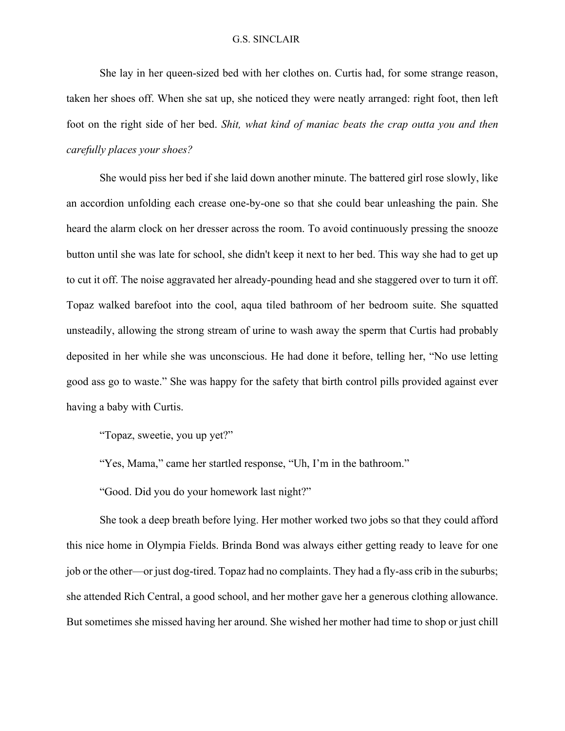She lay in her queen-sized bed with her clothes on. Curtis had, for some strange reason, taken her shoes off. When she sat up, she noticed they were neatly arranged: right foot, then left foot on the right side of her bed. *Shit, what kind of maniac beats the crap outta you and then carefully places your shoes?*

She would piss her bed if she laid down another minute. The battered girl rose slowly, like an accordion unfolding each crease one-by-one so that she could bear unleashing the pain. She heard the alarm clock on her dresser across the room. To avoid continuously pressing the snooze button until she was late for school, she didn't keep it next to her bed. This way she had to get up to cut it off. The noise aggravated her already-pounding head and she staggered over to turn it off. Topaz walked barefoot into the cool, aqua tiled bathroom of her bedroom suite. She squatted unsteadily, allowing the strong stream of urine to wash away the sperm that Curtis had probably deposited in her while she was unconscious. He had done it before, telling her, "No use letting good ass go to waste." She was happy for the safety that birth control pills provided against ever having a baby with Curtis.

"Topaz, sweetie, you up yet?"

"Yes, Mama," came her startled response, "Uh, I'm in the bathroom."

"Good. Did you do your homework last night?"

She took a deep breath before lying. Her mother worked two jobs so that they could afford this nice home in Olympia Fields. Brinda Bond was always either getting ready to leave for one job or the other—or just dog-tired. Topaz had no complaints. They had a fly-ass crib in the suburbs; she attended Rich Central, a good school, and her mother gave her a generous clothing allowance. But sometimes she missed having her around. She wished her mother had time to shop or just chill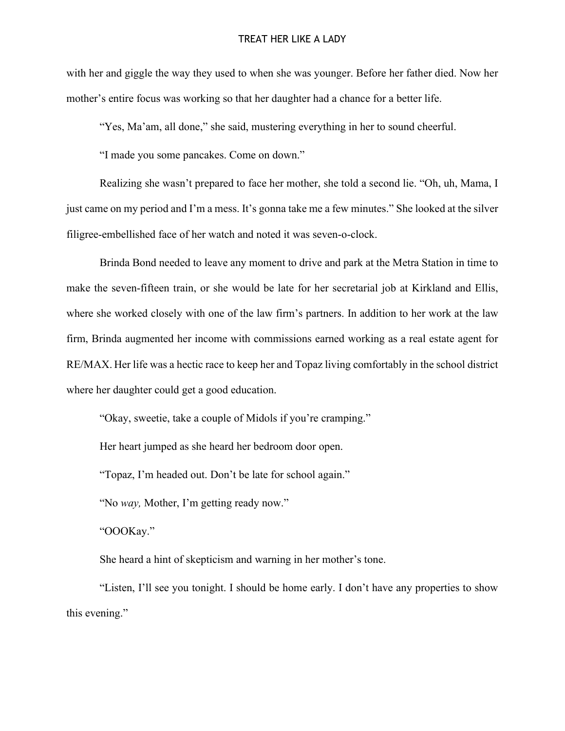with her and giggle the way they used to when she was younger. Before her father died. Now her mother's entire focus was working so that her daughter had a chance for a better life.

"Yes. Ma'am, all done," she said, mustering everything in her to sound cheerful.

"I made you some pancakes. Come on down."

Realizing she wasn't prepared to face her mother, she told a second lie. "Oh, uh, Mama, I just came on my period and I'm a mess. It's gonna take me a few minutes." She looked at the silver filigree-embellished face of her watch and noted it was seven-o-clock.

Brinda Bond needed to leave any moment to drive and park at the Metra Station in time to make the seven-fifteen train, or she would be late for her secretarial job at Kirkland and Ellis, where she worked closely with one of the law firm's partners. In addition to her work at the law firm, Brinda augmented her income with commissions earned working as a real estate agent for RE/MAX. Her life was a hectic race to keep her and Topaz living comfortably in the school district where her daughter could get a good education.

"Okay, sweetie, take a couple of Midols if you're cramping."

Her heart jumped as she heard her bedroom door open.

"Topaz, I'm headed out. Don't be late for school again."

"No *way,* Mother, I'm getting ready now."

"OOOKay."

She heard a hint of skepticism and warning in her mother's tone.

"Listen, I'll see you tonight. I should be home early. I don't have any properties to show this evening."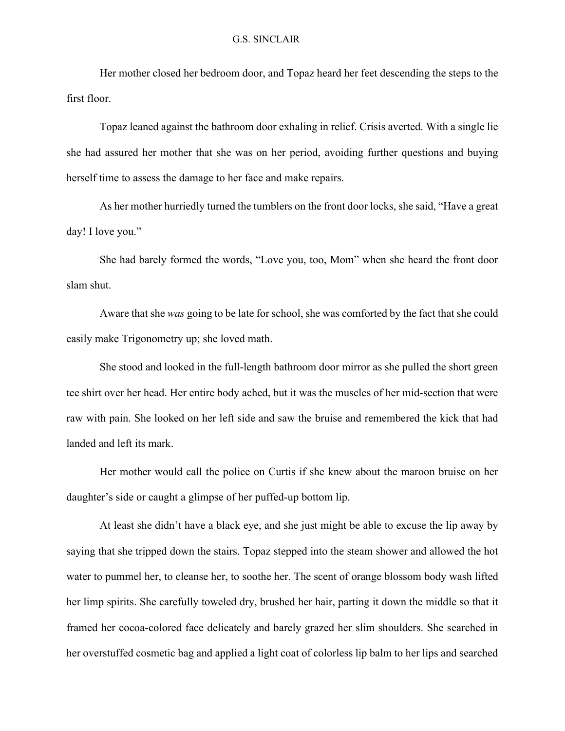Her mother closed her bedroom door, and Topaz heard her feet descending the steps to the first floor.

Topaz leaned against the bathroom door exhaling in relief. Crisis averted. With a single lie she had assured her mother that she was on her period, avoiding further questions and buying herself time to assess the damage to her face and make repairs.

As her mother hurriedly turned the tumblers on the front door locks, she said, "Have a great day! I love you."

She had barely formed the words, "Love you, too, Mom" when she heard the front door slam shut.

Aware that she *was* going to be late for school, she was comforted by the fact that she could easily make Trigonometry up; she loved math.

She stood and looked in the full-length bathroom door mirror as she pulled the short green tee shirt over her head. Her entire body ached, but it was the muscles of her mid-section that were raw with pain. She looked on her left side and saw the bruise and remembered the kick that had landed and left its mark.

Her mother would call the police on Curtis if she knew about the maroon bruise on her daughter's side or caught a glimpse of her puffed-up bottom lip.

At least she didn't have a black eye, and she just might be able to excuse the lip away by saying that she tripped down the stairs. Topaz stepped into the steam shower and allowed the hot water to pummel her, to cleanse her, to soothe her. The scent of orange blossom body wash lifted her limp spirits. She carefully toweled dry, brushed her hair, parting it down the middle so that it framed her cocoa-colored face delicately and barely grazed her slim shoulders. She searched in her overstuffed cosmetic bag and applied a light coat of colorless lip balm to her lips and searched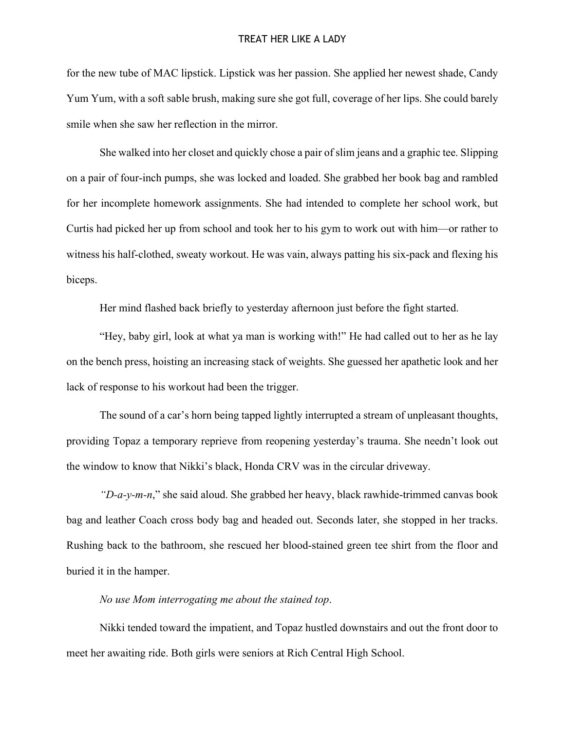for the new tube of MAC lipstick. Lipstick was her passion. She applied her newest shade, Candy Yum Yum, with a soft sable brush, making sure she got full, coverage of her lips. She could barely smile when she saw her reflection in the mirror.

She walked into her closet and quickly chose a pair of slim jeans and a graphic tee. Slipping on a pair of four-inch pumps, she was locked and loaded. She grabbed her book bag and rambled for her incomplete homework assignments. She had intended to complete her school work, but Curtis had picked her up from school and took her to his gym to work out with him—or rather to witness his half-clothed, sweaty workout. He was vain, always patting his six-pack and flexing his biceps.

Her mind flashed back briefly to yesterday afternoon just before the fight started.

"Hey, baby girl, look at what ya man is working with!" He had called out to her as he lay on the bench press, hoisting an increasing stack of weights. She guessed her apathetic look and her lack of response to his workout had been the trigger.

The sound of a car's horn being tapped lightly interrupted a stream of unpleasant thoughts, providing Topaz a temporary reprieve from reopening yesterday's trauma. She needn't look out the window to know that Nikki's black, Honda CRV was in the circular driveway.

*"D-a-y-m-n*," she said aloud. She grabbed her heavy, black rawhide-trimmed canvas book bag and leather Coach cross body bag and headed out. Seconds later, she stopped in her tracks. Rushing back to the bathroom, she rescued her blood-stained green tee shirt from the floor and buried it in the hamper.

*No use Mom interrogating me about the stained top*.

Nikki tended toward the impatient, and Topaz hustled downstairs and out the front door to meet her awaiting ride. Both girls were seniors at Rich Central High School.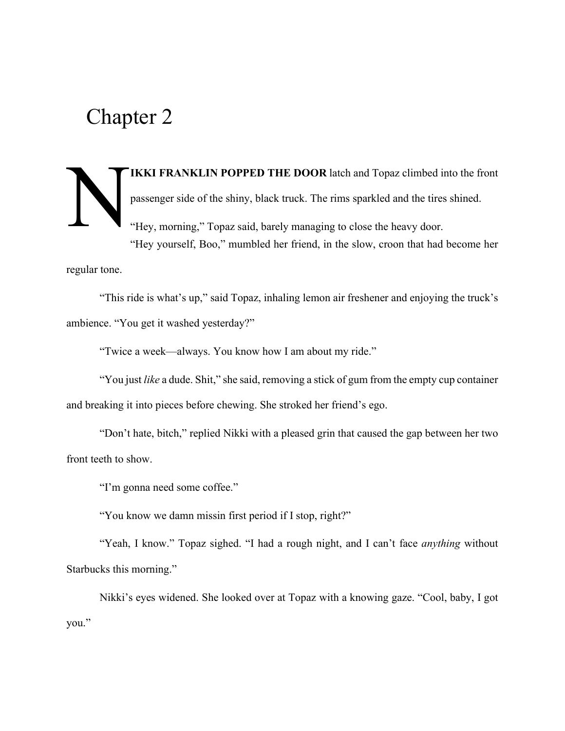### IKKI FRANKLIN POPPED THE DOOR latch and Topaz climbed into the front passenger side of the shiny, black truck. The rims sparkled and the tires shined. "Hey, morning," Topaz said, barely managing to close the heavy door. "Hey yourself, Boo," mumbled her friend, in the slow, croon that had become her N

regular tone.

"This ride is what's up," said Topaz, inhaling lemon air freshener and enjoying the truck's ambience. "You get it washed yesterday?"

"Twice a week—always. You know how I am about my ride."

"You just *like* a dude. Shit," she said, removing a stick of gum from the empty cup container and breaking it into pieces before chewing. She stroked her friend's ego.

"Don't hate, bitch," replied Nikki with a pleased grin that caused the gap between her two front teeth to show.

"I'm gonna need some coffee."

"You know we damn missin first period if I stop, right?"

"Yeah, I know." Topaz sighed. "I had a rough night, and I can't face *anything* without Starbucks this morning."

Nikki's eyes widened. She looked over at Topaz with a knowing gaze. "Cool, baby, I got you."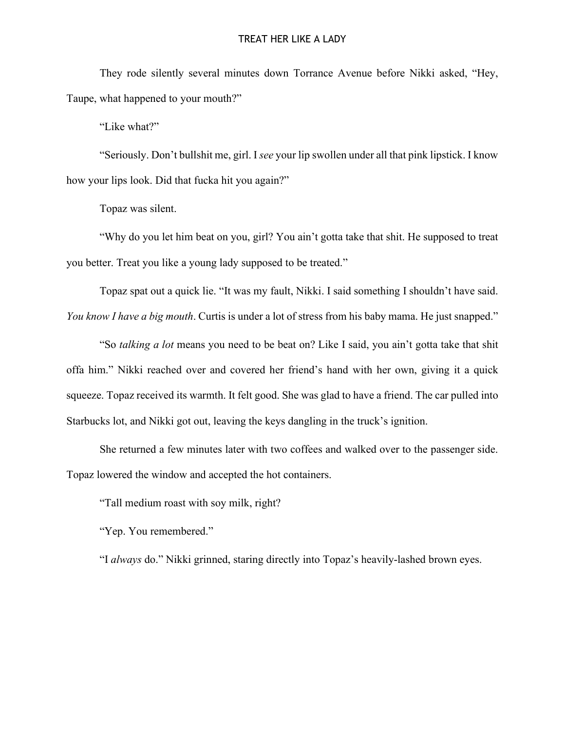#### TREAT HER LIKE A LADY

They rode silently several minutes down Torrance Avenue before Nikki asked, "Hey, Taupe, what happened to your mouth?"

"Like what?"

"Seriously. Don't bullshit me, girl. I *see* your lip swollen under all that pink lipstick. I know how your lips look. Did that fucka hit you again?"

Topaz was silent.

"Why do you let him beat on you, girl? You ain't gotta take that shit. He supposed to treat you better. Treat you like a young lady supposed to be treated."

Topaz spat out a quick lie. "It was my fault, Nikki. I said something I shouldn't have said. *You know I have a big mouth*. Curtis is under a lot of stress from his baby mama. He just snapped."

"So *talking a lot* means you need to be beat on? Like I said, you ain't gotta take that shit offa him." Nikki reached over and covered her friend's hand with her own, giving it a quick squeeze. Topaz received its warmth. It felt good. She was glad to have a friend. The car pulled into Starbucks lot, and Nikki got out, leaving the keys dangling in the truck's ignition.

She returned a few minutes later with two coffees and walked over to the passenger side. Topaz lowered the window and accepted the hot containers.

"Tall medium roast with soy milk, right?

"Yep. You remembered."

"I *always* do." Nikki grinned, staring directly into Topaz's heavily-lashed brown eyes.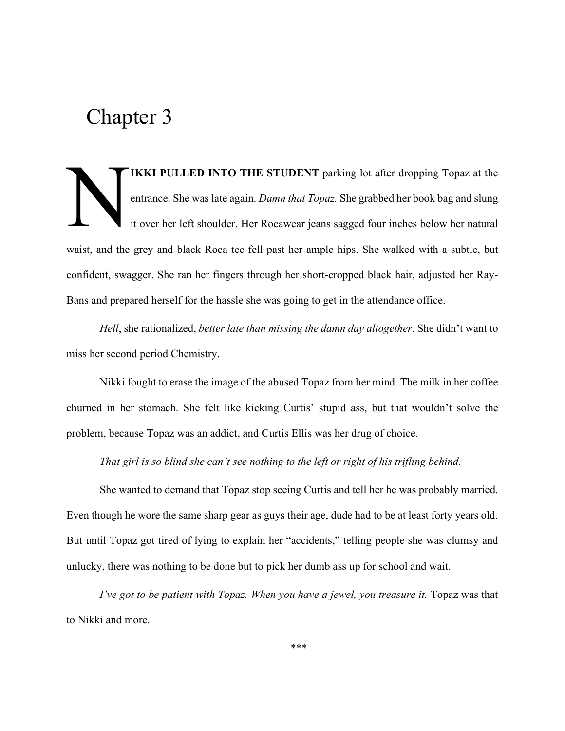IKKI PULLED INTO THE STUDENT parking lot after dropping Topaz at the entrance. She was late again. *Damn that Topaz.* She grabbed her book bag and slung it over her left shoulder. Her Rocawear jeans sagged four inches below her natural waist, and the grey and black Roca tee fell past her ample hips. She walked with a subtle, but confident, swagger. She ran her fingers through her short-cropped black hair, adjusted her Ray-Bans and prepared herself for the hassle she was going to get in the attendance office. N

*Hell*, she rationalized, *better late than missing the damn day altogether*. She didn't want to miss her second period Chemistry.

Nikki fought to erase the image of the abused Topaz from her mind. The milk in her coffee churned in her stomach. She felt like kicking Curtis' stupid ass, but that wouldn't solve the problem, because Topaz was an addict, and Curtis Ellis was her drug of choice.

*That girl is so blind she can't see nothing to the left or right of his trifling behind.*

She wanted to demand that Topaz stop seeing Curtis and tell her he was probably married. Even though he wore the same sharp gear as guys their age, dude had to be at least forty years old. But until Topaz got tired of lying to explain her "accidents," telling people she was clumsy and unlucky, there was nothing to be done but to pick her dumb ass up for school and wait.

*I've got to be patient with Topaz. When you have a jewel, you treasure it.* Topaz was that to Nikki and more.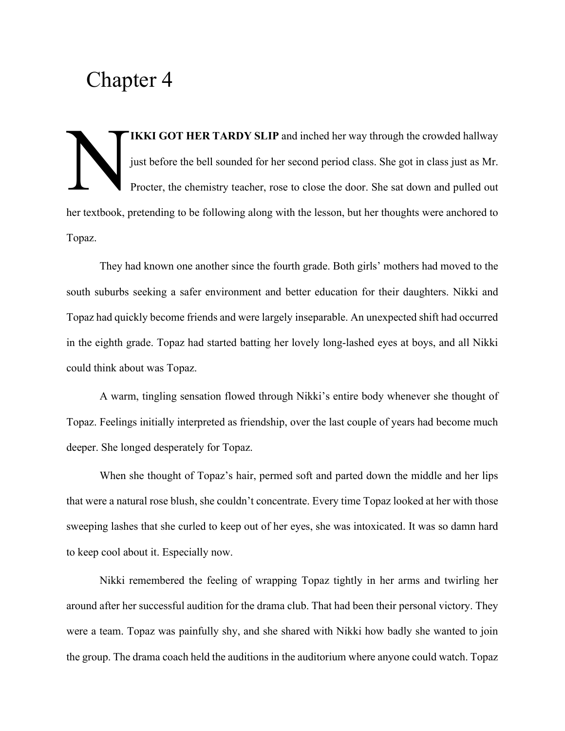IKKI GOT HER TARDY SLIP and inched her way through the crowded hallway just before the bell sounded for her second period class. She got in class just as Mr. Procter, the chemistry teacher, rose to close the door. She sat down and pulled out her textbook, pretending to be following along with the lesson, but her thoughts were anchored to Topaz. N

They had known one another since the fourth grade. Both girls' mothers had moved to the south suburbs seeking a safer environment and better education for their daughters. Nikki and Topaz had quickly become friends and were largely inseparable. An unexpected shift had occurred in the eighth grade. Topaz had started batting her lovely long-lashed eyes at boys, and all Nikki could think about was Topaz.

A warm, tingling sensation flowed through Nikki's entire body whenever she thought of Topaz. Feelings initially interpreted as friendship, over the last couple of years had become much deeper. She longed desperately for Topaz.

When she thought of Topaz's hair, permed soft and parted down the middle and her lips that were a natural rose blush, she couldn't concentrate. Every time Topaz looked at her with those sweeping lashes that she curled to keep out of her eyes, she was intoxicated. It was so damn hard to keep cool about it. Especially now.

Nikki remembered the feeling of wrapping Topaz tightly in her arms and twirling her around after her successful audition for the drama club. That had been their personal victory. They were a team. Topaz was painfully shy, and she shared with Nikki how badly she wanted to join the group. The drama coach held the auditions in the auditorium where anyone could watch. Topaz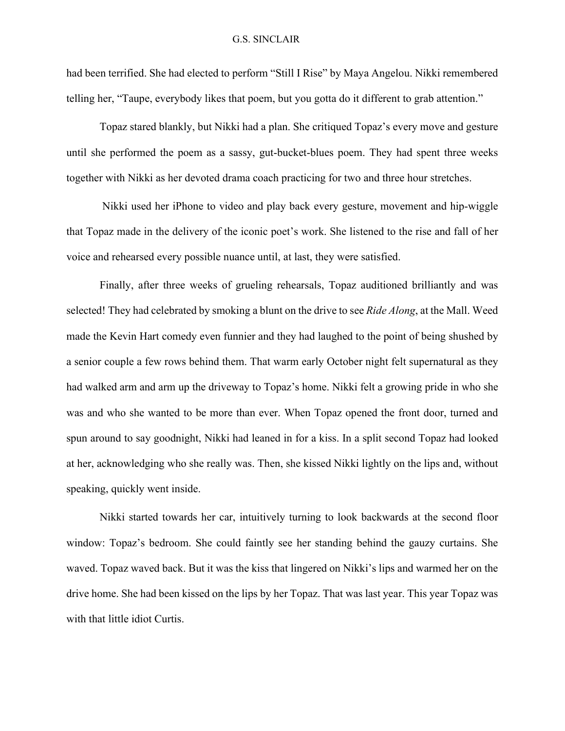#### G.S. SINCLAIR

had been terrified. She had elected to perform "Still I Rise" by Maya Angelou. Nikki remembered telling her, "Taupe, everybody likes that poem, but you gotta do it different to grab attention."

Topaz stared blankly, but Nikki had a plan. She critiqued Topaz's every move and gesture until she performed the poem as a sassy, gut-bucket-blues poem. They had spent three weeks together with Nikki as her devoted drama coach practicing for two and three hour stretches.

Nikki used her iPhone to video and play back every gesture, movement and hip-wiggle that Topaz made in the delivery of the iconic poet's work. She listened to the rise and fall of her voice and rehearsed every possible nuance until, at last, they were satisfied.

Finally, after three weeks of grueling rehearsals, Topaz auditioned brilliantly and was selected! They had celebrated by smoking a blunt on the drive to see *Ride Along*, at the Mall. Weed made the Kevin Hart comedy even funnier and they had laughed to the point of being shushed by a senior couple a few rows behind them. That warm early October night felt supernatural as they had walked arm and arm up the driveway to Topaz's home. Nikki felt a growing pride in who she was and who she wanted to be more than ever. When Topaz opened the front door, turned and spun around to say goodnight, Nikki had leaned in for a kiss. In a split second Topaz had looked at her, acknowledging who she really was. Then, she kissed Nikki lightly on the lips and, without speaking, quickly went inside.

Nikki started towards her car, intuitively turning to look backwards at the second floor window: Topaz's bedroom. She could faintly see her standing behind the gauzy curtains. She waved. Topaz waved back. But it was the kiss that lingered on Nikki's lips and warmed her on the drive home. She had been kissed on the lips by her Topaz. That was last year. This year Topaz was with that little idiot Curtis.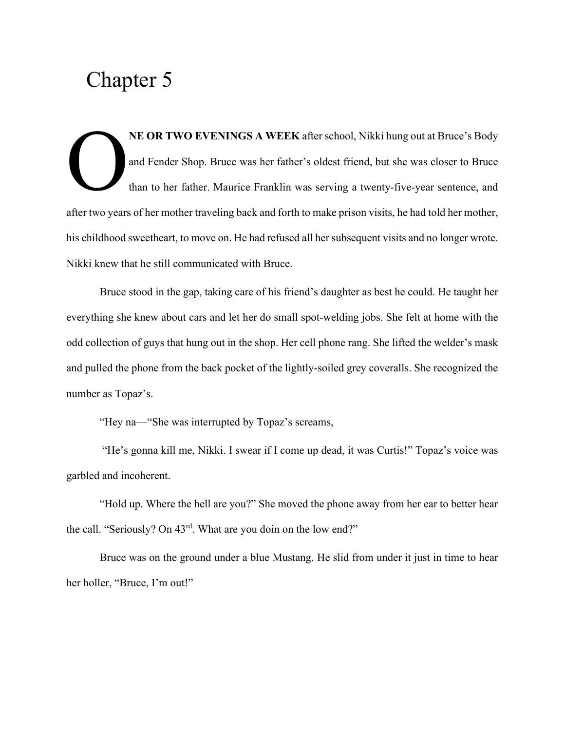NE OR TWO EVENINGS A WEEK after school, Nikki hung out at Bruce's Body and Fender Shop. Bruce was her father's oldest friend, but she was closer to Bruce than to her father. Maurice Franklin was serving a twenty-five-year sentence, and after two years of her mother traveling back and forth to make prison visits, he had told her mother, his childhood sweetheart, to move on. He had refused all her subsequent visits and no longer wrote. Nikki knew that he still communicated with Bruce. O

Bruce stood in the gap, taking care of his friend's daughter as best he could. He taught her everything she knew about cars and let her do small spot-welding jobs. She felt at home with the odd collection of guys that hung out in the shop. Her cell phone rang. She lifted the welder's mask and pulled the phone from the back pocket of the lightly-soiled grey coveralls. She recognized the number as Topaz's.

"Hey na—"She was interrupted by Topaz's screams,

"He's gonna kill me, Nikki. I swear if I come up dead, it was Curtis!" Topaz's voice was garbled and incoherent.

"Hold up. Where the hell are you?" She moved the phone away from her ear to better hear the call. "Seriously? On 43<sup>rd</sup>. What are you doin on the low end?"

Bruce was on the ground under a blue Mustang. He slid from under it just in time to hear her holler, "Bruce, I'm out!"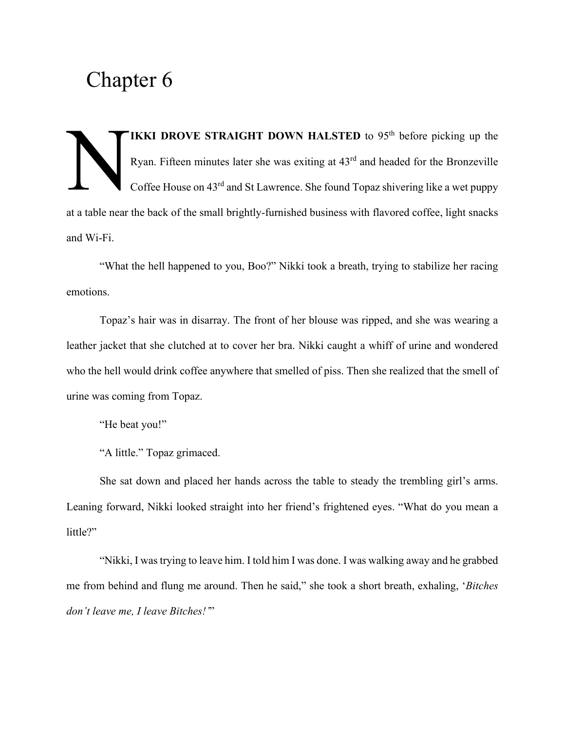IKKI DROVE STRAIGHT DOWN HALSTED to  $95<sup>th</sup>$  before picking up the Ryan. Fifteen minutes later she was exiting at 43rd and headed for the Bronzeville Coffee House on 43rd and St Lawrence. She found Topaz shivering like a wet puppy at a table near the back of the small brightly-furnished business with flavored coffee, light snacks and Wi-Fi. N

"What the hell happened to you, Boo?" Nikki took a breath, trying to stabilize her racing emotions.

Topaz's hair was in disarray. The front of her blouse was ripped, and she was wearing a leather jacket that she clutched at to cover her bra. Nikki caught a whiff of urine and wondered who the hell would drink coffee anywhere that smelled of piss. Then she realized that the smell of urine was coming from Topaz.

"He beat you!"

"A little." Topaz grimaced.

She sat down and placed her hands across the table to steady the trembling girl's arms. Leaning forward, Nikki looked straight into her friend's frightened eyes. "What do you mean a little?"

"Nikki, I was trying to leave him. I told him I was done. I was walking away and he grabbed me from behind and flung me around. Then he said," she took a short breath, exhaling, '*Bitches don't leave me, I leave Bitches!'*"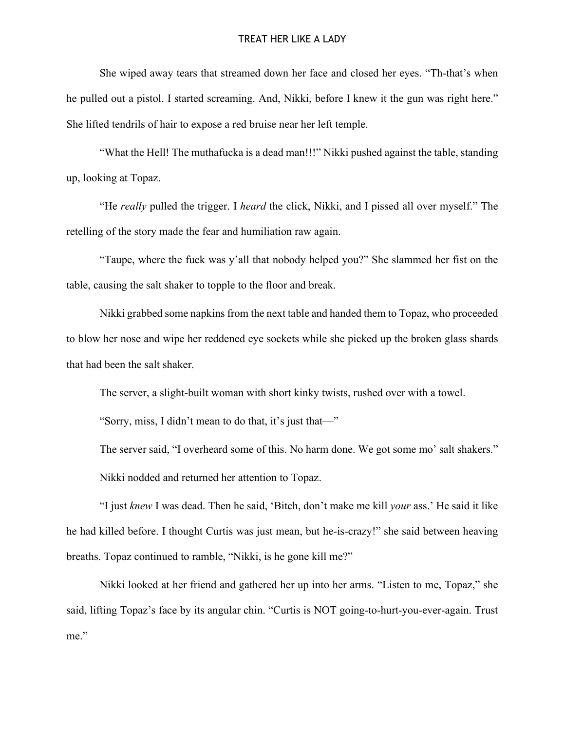#### TREAT HER LIKE A LADY

She wiped away tears that streamed down her face and closed her eyes. "Th-that's when he pulled out a pistol. I started screaming. And, Nikki, before I knew it the gun was right here." She lifted tendrils of hair to expose a red bruise near her left temple.

"What the Hell! The muthafucka is a dead man!!!" Nikki pushed against the table, standing up, looking at Topaz.

"He *really* pulled the trigger. I *heard* the click, Nikki, and I pissed all over myself." The retelling of the story made the fear and humiliation raw again.

"Taupe, where the fuck was y'all that nobody helped you?" She slammed her fist on the table, causing the salt shaker to topple to the floor and break.

Nikki grabbed some napkins from the next table and handed them to Topaz, who proceeded to blow her nose and wipe her reddened eye sockets while she picked up the broken glass shards that had been the salt shaker.

The server, a slight-built woman with short kinky twists, rushed over with a towel.

"Sorry, miss, I didn't mean to do that, it's just that—"

The server said, "I overheard some of this. No harm done. We got some mo' salt shakers." Nikki nodded and returned her attention to Topaz.

"I just *knew* I was dead. Then he said, 'Bitch, don't make me kill *your* ass.' He said it like he had killed before. I thought Curtis was just mean, but he-is-crazy!" she said between heaving breaths. Topaz continued to ramble, "Nikki, is he gone kill me?"

Nikki looked at her friend and gathered her up into her arms. "Listen to me, Topaz," she said, lifting Topaz's face by its angular chin. "Curtis is NOT going-to-hurt-you-ever-again. Trust me."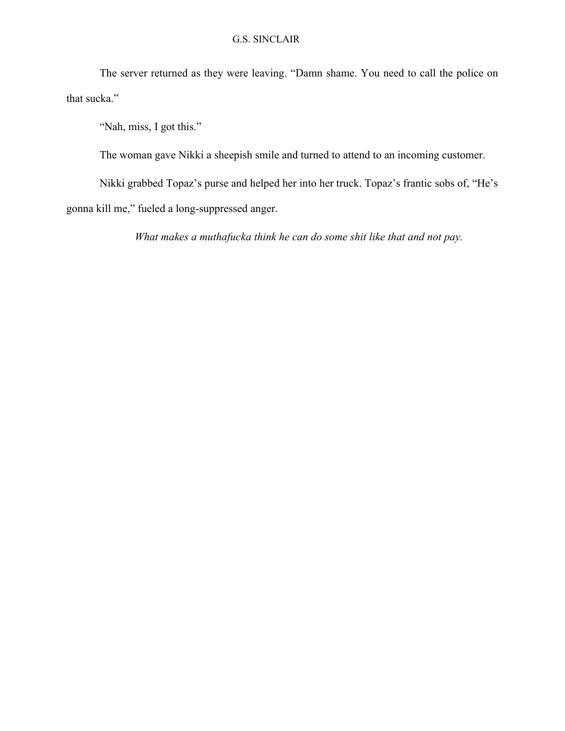#### G.S. SINCLAIR

The server returned as they were leaving. "Damn shame. You need to call the police on that sucka."

"Nah, miss, I got this."

The woman gave Nikki a sheepish smile and turned to attend to an incoming customer.

Nikki grabbed Topaz's purse and helped her into her truck. Topaz's frantic sobs of, "He's gonna kill me," fueled a long-suppressed anger.

*What makes a muthafucka think he can do some shit like that and not pay.*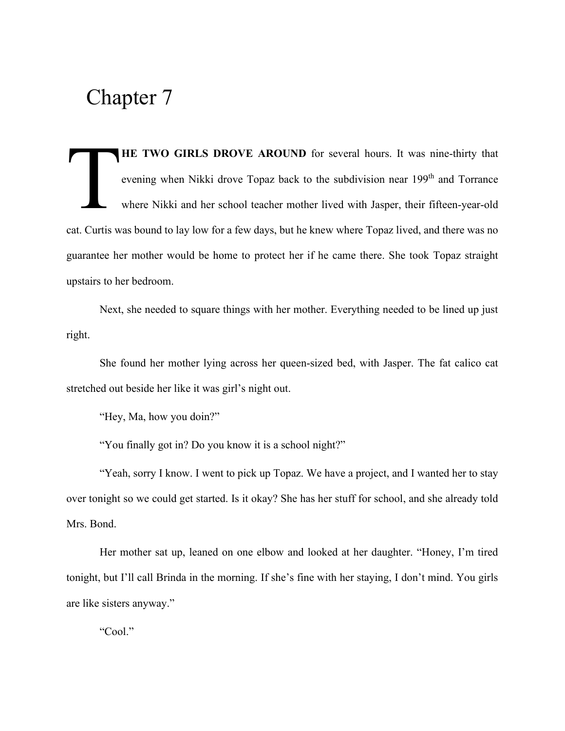HE TWO GIRLS DROVE AROUND for several hours. It was nine-thirty that evening when Nikki drove Topaz back to the subdivision near 199<sup>th</sup> and Torrance where Nikki and her school teacher mother lived with Jasper, their fifteen-year-old cat. Curtis was bound to lay low for a few days, but he knew where Topaz lived, and there was no guarantee her mother would be home to protect her if he came there. She took Topaz straight upstairs to her bedroom. **T** 

Next, she needed to square things with her mother. Everything needed to be lined up just right.

She found her mother lying across her queen-sized bed, with Jasper. The fat calico cat stretched out beside her like it was girl's night out.

"Hey, Ma, how you doin?"

"You finally got in? Do you know it is a school night?"

"Yeah, sorry I know. I went to pick up Topaz. We have a project, and I wanted her to stay over tonight so we could get started. Is it okay? She has her stuff for school, and she already told Mrs. Bond.

Her mother sat up, leaned on one elbow and looked at her daughter. "Honey, I'm tired tonight, but I'll call Brinda in the morning. If she's fine with her staying, I don't mind. You girls are like sisters anyway."

"Cool."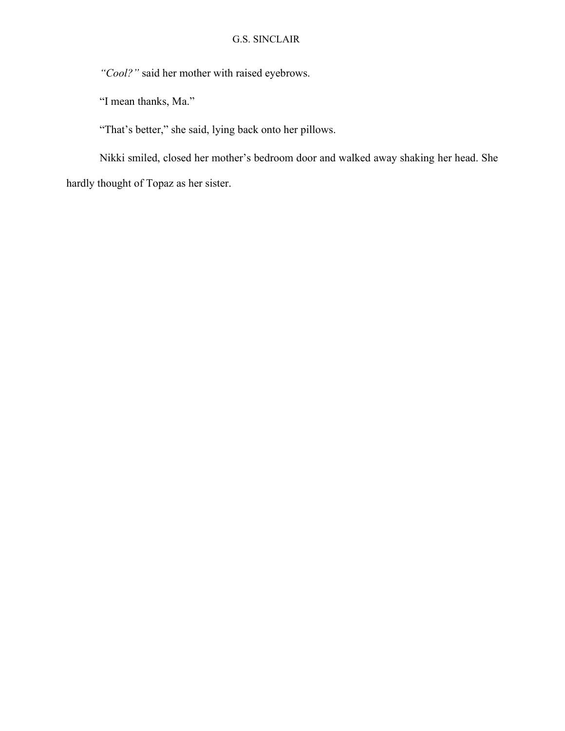*"Cool?"* said her mother with raised eyebrows.

"I mean thanks, Ma."

"That's better," she said, lying back onto her pillows.

Nikki smiled, closed her mother's bedroom door and walked away shaking her head. She hardly thought of Topaz as her sister.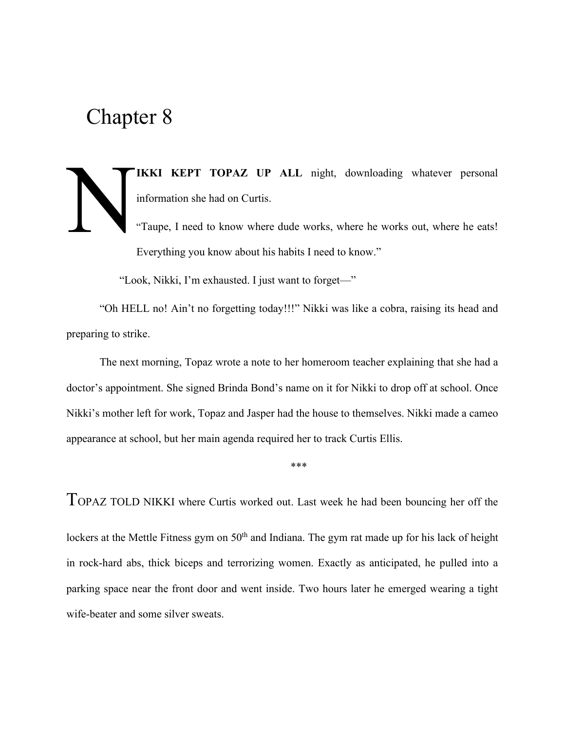IKKI KEPT TOPAZ UP ALL night, downloading whatever personal information she had on Curtis. "Taupe, I need to know where dude works, where he works out, where he eats! N

Everything you know about his habits I need to know."

"Look, Nikki, I'm exhausted. I just want to forget—"

"Oh HELL no! Ain't no forgetting today!!!" Nikki was like a cobra, raising its head and preparing to strike.

The next morning, Topaz wrote a note to her homeroom teacher explaining that she had a doctor's appointment. She signed Brinda Bond's name on it for Nikki to drop off at school. Once Nikki's mother left for work, Topaz and Jasper had the house to themselves. Nikki made a cameo appearance at school, but her main agenda required her to track Curtis Ellis.

\*\*\*

TOPAZ TOLD NIKKI where Curtis worked out. Last week he had been bouncing her off the

lockers at the Mettle Fitness gym on 50<sup>th</sup> and Indiana. The gym rat made up for his lack of height in rock-hard abs, thick biceps and terrorizing women. Exactly as anticipated, he pulled into a parking space near the front door and went inside. Two hours later he emerged wearing a tight wife-beater and some silver sweats.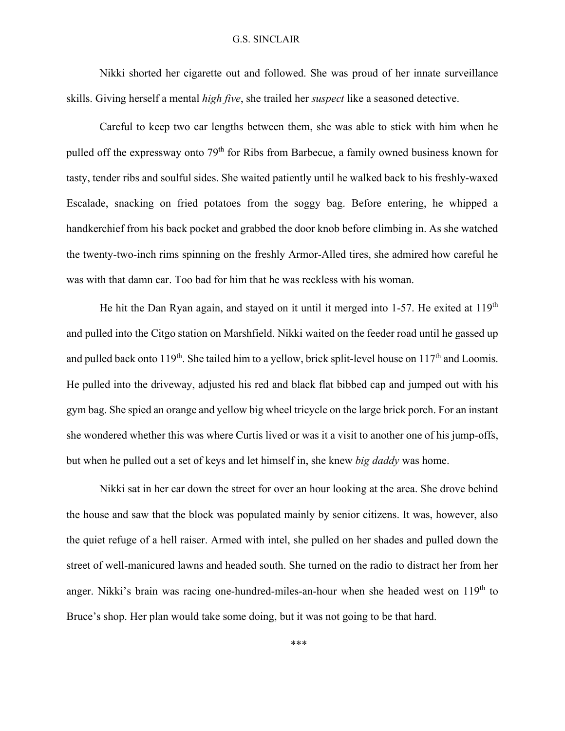#### G.S. SINCLAIR

Nikki shorted her cigarette out and followed. She was proud of her innate surveillance skills. Giving herself a mental *high five*, she trailed her *suspect* like a seasoned detective.

Careful to keep two car lengths between them, she was able to stick with him when he pulled off the expressway onto 79<sup>th</sup> for Ribs from Barbecue, a family owned business known for tasty, tender ribs and soulful sides. She waited patiently until he walked back to his freshly-waxed Escalade, snacking on fried potatoes from the soggy bag. Before entering, he whipped a handkerchief from his back pocket and grabbed the door knob before climbing in. As she watched the twenty-two-inch rims spinning on the freshly Armor-Alled tires, she admired how careful he was with that damn car. Too bad for him that he was reckless with his woman.

He hit the Dan Ryan again, and stayed on it until it merged into 1-57. He exited at  $119<sup>th</sup>$ and pulled into the Citgo station on Marshfield. Nikki waited on the feeder road until he gassed up and pulled back onto 119<sup>th</sup>. She tailed him to a yellow, brick split-level house on  $117<sup>th</sup>$  and Loomis. He pulled into the driveway, adjusted his red and black flat bibbed cap and jumped out with his gym bag. She spied an orange and yellow big wheel tricycle on the large brick porch. For an instant she wondered whether this was where Curtis lived or was it a visit to another one of his jump-offs, but when he pulled out a set of keys and let himself in, she knew *big daddy* was home.

Nikki sat in her car down the street for over an hour looking at the area. She drove behind the house and saw that the block was populated mainly by senior citizens. It was, however, also the quiet refuge of a hell raiser. Armed with intel, she pulled on her shades and pulled down the street of well-manicured lawns and headed south. She turned on the radio to distract her from her anger. Nikki's brain was racing one-hundred-miles-an-hour when she headed west on  $119<sup>th</sup>$  to Bruce's shop. Her plan would take some doing, but it was not going to be that hard.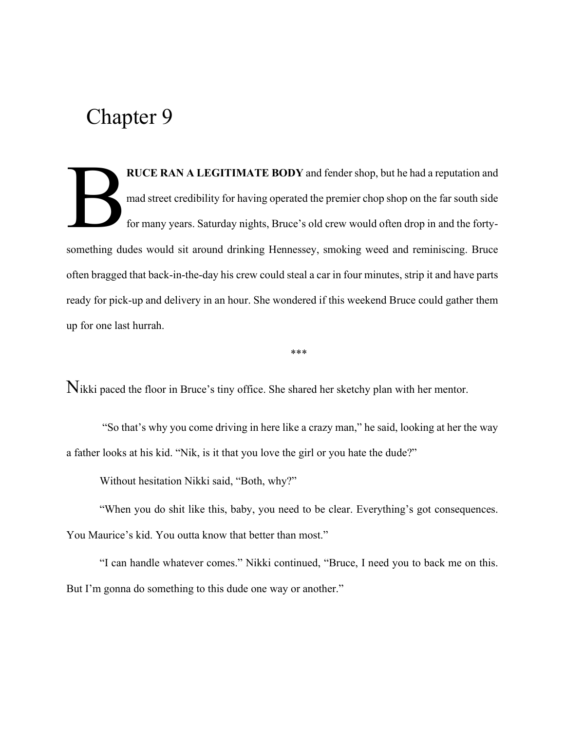RUCE RAN A LEGITIMATE BODY and fender shop, but he had a reputation and mad street credibility for having operated the premier chop shop on the far south side for many years. Saturday nights, Bruce's old crew would often drop in and the fortysomething dudes would sit around drinking Hennessey, smoking weed and reminiscing. Bruce often bragged that back-in-the-day his crew could steal a car in four minutes, strip it and have parts ready for pick-up and delivery in an hour. She wondered if this weekend Bruce could gather them up for one last hurrah. B

Nikki paced the floor in Bruce's tiny office. She shared her sketchy plan with her mentor.

"So that's why you come driving in here like a crazy man," he said, looking at her the way a father looks at his kid. "Nik, is it that you love the girl or you hate the dude?"

\*\*\*

Without hesitation Nikki said, "Both, why?"

"When you do shit like this, baby, you need to be clear. Everything's got consequences. You Maurice's kid. You outta know that better than most."

"I can handle whatever comes." Nikki continued, "Bruce, I need you to back me on this. But I'm gonna do something to this dude one way or another."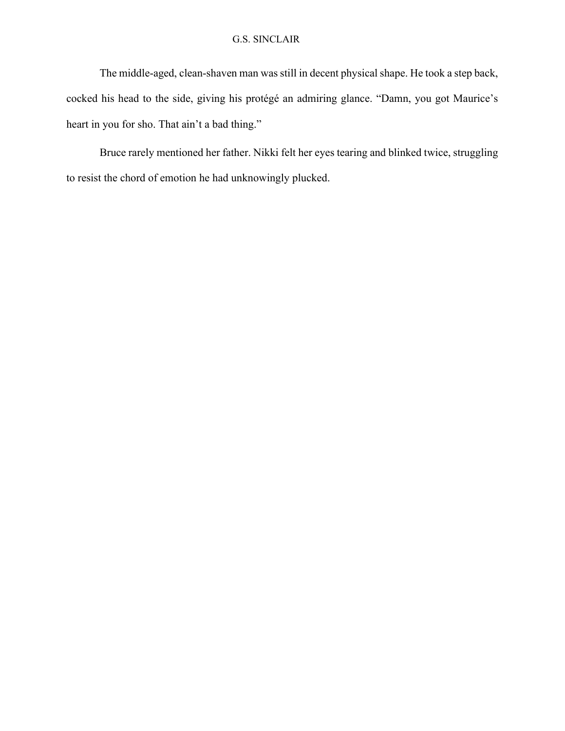#### G.S. SINCLAIR

The middle-aged, clean-shaven man was still in decent physical shape. He took a step back, cocked his head to the side, giving his protégé an admiring glance. "Damn, you got Maurice's heart in you for sho. That ain't a bad thing."

Bruce rarely mentioned her father. Nikki felt her eyes tearing and blinked twice, struggling to resist the chord of emotion he had unknowingly plucked.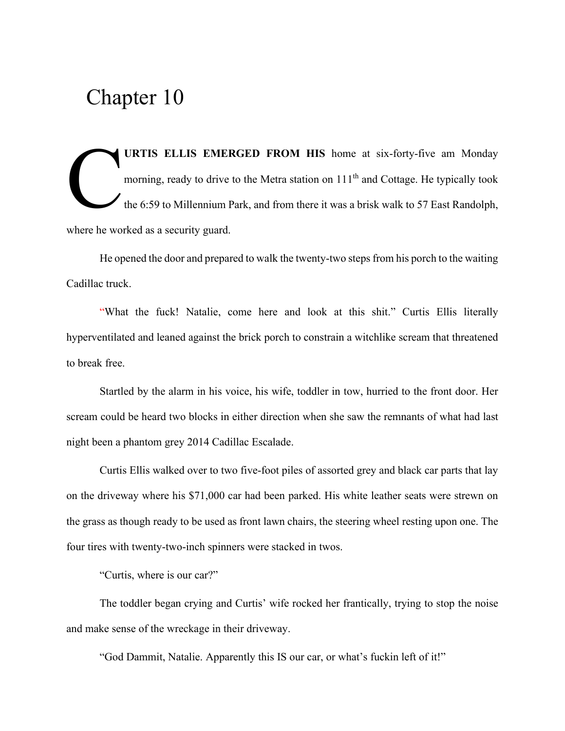URTIS ELLIS EMERGED FROM HIS home at six-forty-five am Monday morning, ready to drive to the Metra station on 111<sup>th</sup> and Cottage. He typically took the 6:59 to Millennium Park, and from there it was a brisk walk to 57 East Randolph, where he worked as a security guard. C

He opened the door and prepared to walk the twenty-two steps from his porch to the waiting Cadillac truck.

"What the fuck! Natalie, come here and look at this shit." Curtis Ellis literally hyperventilated and leaned against the brick porch to constrain a witchlike scream that threatened to break free.

Startled by the alarm in his voice, his wife, toddler in tow, hurried to the front door. Her scream could be heard two blocks in either direction when she saw the remnants of what had last night been a phantom grey 2014 Cadillac Escalade.

Curtis Ellis walked over to two five-foot piles of assorted grey and black car parts that lay on the driveway where his \$71,000 car had been parked. His white leather seats were strewn on the grass as though ready to be used as front lawn chairs, the steering wheel resting upon one. The four tires with twenty-two-inch spinners were stacked in twos.

"Curtis, where is our car?"

The toddler began crying and Curtis' wife rocked her frantically, trying to stop the noise and make sense of the wreckage in their driveway.

"God Dammit, Natalie. Apparently this IS our car, or what's fuckin left of it!"